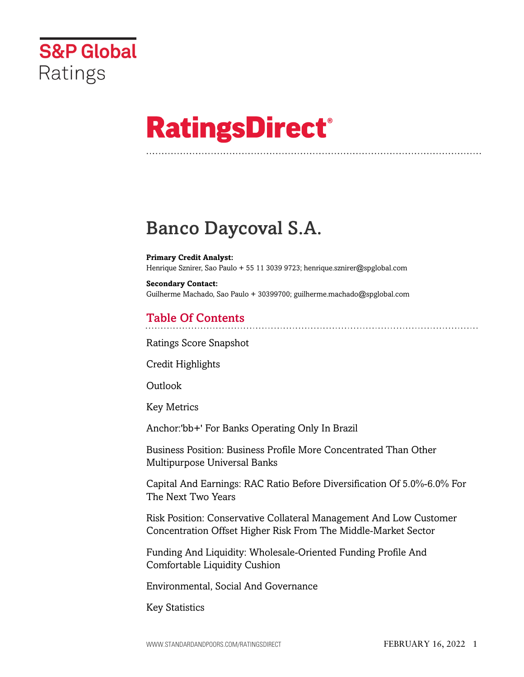

# **RatingsDirect®**

# Banco Daycoval S.A.

**Primary Credit Analyst:** Henrique Sznirer, Sao Paulo + 55 11 3039 9723; henrique.sznirer@spglobal.com

**Secondary Contact:** Guilherme Machado, Sao Paulo + 30399700; guilherme.machado@spglobal.com

# Table Of Contents

[Ratings Score Snapshot](#page-2-0)

[Credit Highlights](#page-2-1)

Outlook

[Key Metrics](#page-3-0)

[Anchor:'bb+' For Banks Operating Only In Brazil](#page-4-0)

[Business Position: Business Profile More Concentrated Than Other](#page-4-1) [Multipurpose Universal Banks](#page-4-1)

[Capital And Earnings: RAC Ratio Before Diversification Of 5.0%-6.0% For](#page-5-0) [The Next Two Years](#page-5-0)

[Risk Position: Conservative Collateral Management And Low Customer](#page-6-0) [Concentration Offset Higher Risk From The Middle-Market Sector](#page-6-0)

[Funding And Liquidity: Wholesale-Oriented Funding Profile And](#page-6-1) [Comfortable Liquidity Cushion](#page-6-1)

[Environmental, Social And Governance](#page-7-0)

[Key Statistics](#page-7-1)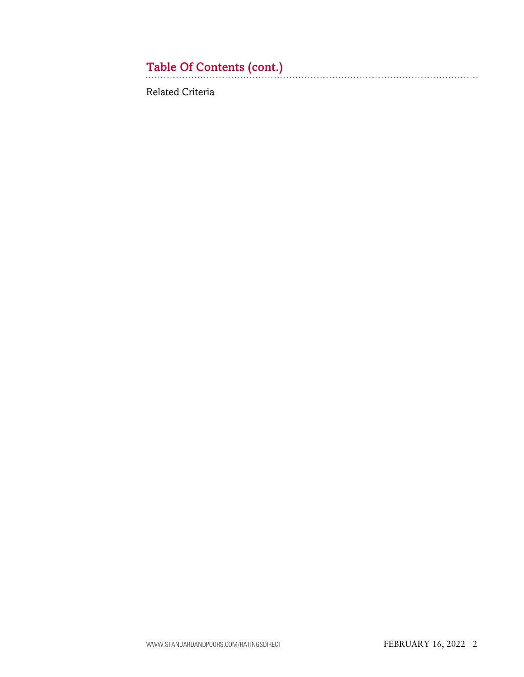# Table Of Contents (cont.)

[Related Criteria](#page-9-0)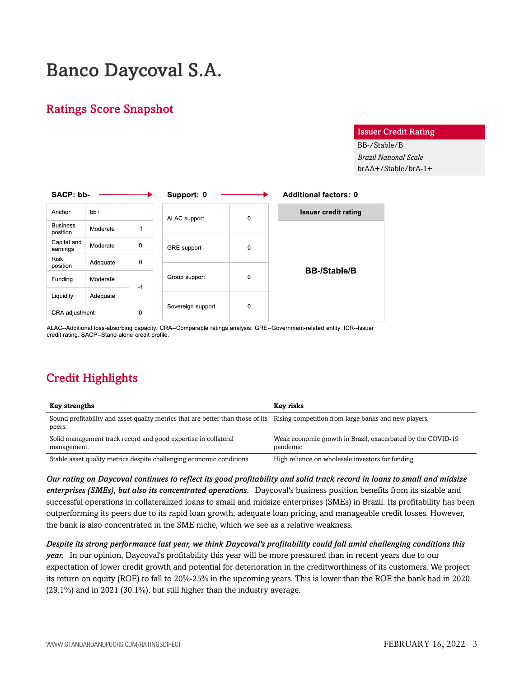# Banco Daycoval S.A.

### <span id="page-2-0"></span>Ratings Score Snapshot

#### Issuer Credit Rating

BB-/Stable/B *Brazil National Scale* brAA+/Stable/brA-1+

| SACP: bb-                   |          |      | Support: 0        |   | <b>Additional factors: 0</b> |  |  |  |
|-----------------------------|----------|------|-------------------|---|------------------------------|--|--|--|
| Anchor                      | $bb+$    |      | ALAC support      | 0 | <b>Issuer credit rating</b>  |  |  |  |
| <b>Business</b><br>position | Moderate | $-1$ |                   |   |                              |  |  |  |
| Capital and<br>earnings     | Moderate | 0    | GRE support       | 0 |                              |  |  |  |
| <b>Risk</b><br>position     | Adequate | 0    |                   |   | <b>BB-/Stable/B</b>          |  |  |  |
| Funding                     | Moderate | $-1$ | Group support     | 0 |                              |  |  |  |
| Liquidity                   | Adequate |      |                   |   |                              |  |  |  |
| CRA adjustment              |          | 0    | Sovereign support | 0 |                              |  |  |  |

ALAC--Additional loss-absorbing capacity. CRA--Comparable ratings analysis. GRE--Government-related entity. ICR--Issuer credit rating. SACP--Stand-alone credit profile.

# <span id="page-2-1"></span>Credit Highlights

| <b>Key strengths</b>                                                                                                                           | Key risks                                                                |
|------------------------------------------------------------------------------------------------------------------------------------------------|--------------------------------------------------------------------------|
| Sound profitability and asset quality metrics that are better than those of its Rising competition from large banks and new players.<br>peers. |                                                                          |
| Solid management track record and good expertise in collateral<br>management.                                                                  | Weak economic growth in Brazil, exacerbated by the COVID-19<br>pandemic. |
| Stable asset quality metrics despite challenging economic conditions.                                                                          | High reliance on wholesale investors for funding.                        |

*Our rating on Daycoval continues to reflect its good profitability and solid track record in loans to small and midsize enterprises (SMEs), but also its concentrated operations.* Daycoval's business position benefits from its sizable and successful operations in collateralized loans to small and midsize enterprises (SMEs) in Brazil. Its profitability has been outperforming its peers due to its rapid loan growth, adequate loan pricing, and manageable credit losses. However, the bank is also concentrated in the SME niche, which we see as a relative weakness.

*Despite its strong performance last year, we think Daycoval's profitability could fall amid challenging conditions this year.* In our opinion, Daycoval's profitability this year will be more pressured than in recent years due to our expectation of lower credit growth and potential for deterioration in the creditworthiness of its customers. We project its return on equity (ROE) to fall to 20%-25% in the upcoming years. This is lower than the ROE the bank had in 2020 (29.1%) and in 2021 (30.1%), but still higher than the industry average.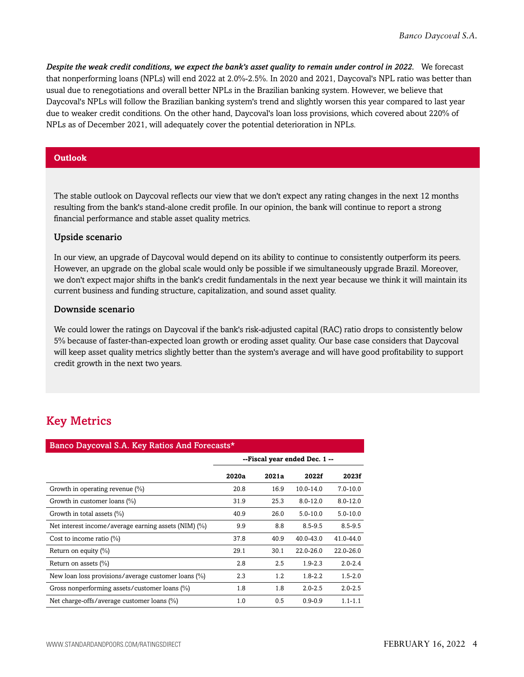*Despite the weak credit conditions, we expect the bank's asset quality to remain under control in 2022.* We forecast that nonperforming loans (NPLs) will end 2022 at 2.0%-2.5%. In 2020 and 2021, Daycoval's NPL ratio was better than usual due to renegotiations and overall better NPLs in the Brazilian banking system. However, we believe that Daycoval's NPLs will follow the Brazilian banking system's trend and slightly worsen this year compared to last year due to weaker credit conditions. On the other hand, Daycoval's loan loss provisions, which covered about 220% of NPLs as of December 2021, will adequately cover the potential deterioration in NPLs.

#### **Outlook**

The stable outlook on Daycoval reflects our view that we don't expect any rating changes in the next 12 months resulting from the bank's stand-alone credit profile. In our opinion, the bank will continue to report a strong financial performance and stable asset quality metrics.

#### Upside scenario

In our view, an upgrade of Daycoval would depend on its ability to continue to consistently outperform its peers. However, an upgrade on the global scale would only be possible if we simultaneously upgrade Brazil. Moreover, we don't expect major shifts in the bank's credit fundamentals in the next year because we think it will maintain its current business and funding structure, capitalization, and sound asset quality.

#### Downside scenario

We could lower the ratings on Daycoval if the bank's risk-adjusted capital (RAC) ratio drops to consistently below 5% because of faster-than-expected loan growth or eroding asset quality. Our base case considers that Daycoval will keep asset quality metrics slightly better than the system's average and will have good profitability to support credit growth in the next two years.

# <span id="page-3-0"></span>Key Metrics

| Banco Daycoval S.A. Key Ratios And Forecasts*          |                               |       |               |              |  |  |  |
|--------------------------------------------------------|-------------------------------|-------|---------------|--------------|--|--|--|
|                                                        | --Fiscal year ended Dec. 1 -- |       |               |              |  |  |  |
|                                                        | 2020a                         | 2021a | 2022f         | 2023f        |  |  |  |
| Growth in operating revenue $(\%)$                     | 20.8                          | 16.9  | $10.0 - 14.0$ | $7.0 - 10.0$ |  |  |  |
| Growth in customer loans (%)                           | 31.9                          | 25.3  | $8.0 - 12.0$  | $8.0 - 12.0$ |  |  |  |
| Growth in total assets $(\%)$                          | 40.9                          | 26.0  | $5.0 - 10.0$  | $5.0 - 10.0$ |  |  |  |
| Net interest income/average earning assets (NIM) (%)   | 9.9                           | 8.8   | $8.5 - 9.5$   | $8.5 - 9.5$  |  |  |  |
| Cost to income ratio $(\%)$                            | 37.8                          | 40.9  | $40.0 - 43.0$ | 41.0-44.0    |  |  |  |
| Return on equity (%)                                   | 29.1                          | 30.1  | $22.0 - 26.0$ | 22.0-26.0    |  |  |  |
| Return on assets (%)                                   | 2.8                           | 2.5   | $1.9 - 2.3$   | $2.0 - 2.4$  |  |  |  |
| New loan loss provisions/average customer loans $(\%)$ | 2.3                           | 1.2   | $1.8 - 2.2$   | $1.5 - 2.0$  |  |  |  |
| Gross nonperforming assets/customer loans (%)          | 1.8                           | 1.8   | $2.0 - 2.5$   | $2.0 - 2.5$  |  |  |  |
| Net charge-offs/average customer loans (%)             | 1.0                           | 0.5   | $0.9 - 0.9$   | $1.1 - 1.1$  |  |  |  |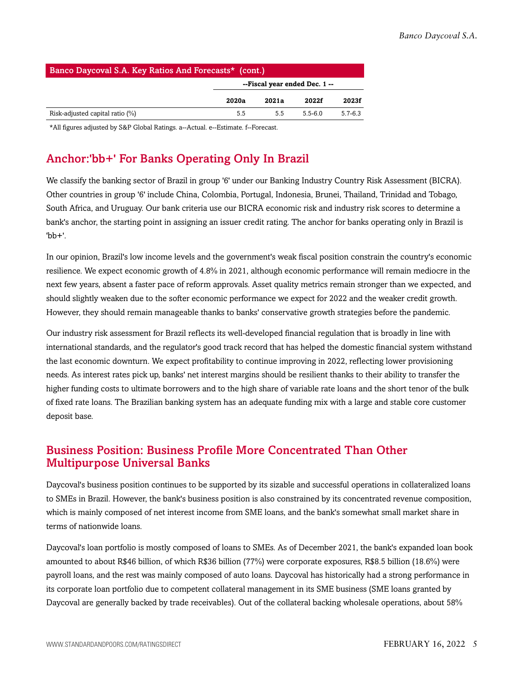| Banco Daycoval S.A. Key Ratios And Forecasts* (cont.) |                               |       |         |             |  |  |  |
|-------------------------------------------------------|-------------------------------|-------|---------|-------------|--|--|--|
|                                                       | --Fiscal year ended Dec. 1 -- |       |         |             |  |  |  |
|                                                       | 2020a                         | 2021a | 2022f   | 2023f       |  |  |  |
| Risk-adjusted capital ratio $(\%)$                    | 5.5                           | 5.5   | $55-60$ | $5.7 - 6.3$ |  |  |  |

<span id="page-4-0"></span>\*All figures adjusted by S&P Global Ratings. a--Actual. e--Estimate. f--Forecast.

# Anchor:'bb+' For Banks Operating Only In Brazil

We classify the banking sector of Brazil in group '6' under our Banking Industry Country Risk Assessment (BICRA). Other countries in group '6' include China, Colombia, Portugal, Indonesia, Brunei, Thailand, Trinidad and Tobago, South Africa, and Uruguay. Our bank criteria use our BICRA economic risk and industry risk scores to determine a bank's anchor, the starting point in assigning an issuer credit rating. The anchor for banks operating only in Brazil is  $'$ hh<sup>+'</sup>

In our opinion, Brazil's low income levels and the government's weak fiscal position constrain the country's economic resilience. We expect economic growth of 4.8% in 2021, although economic performance will remain mediocre in the next few years, absent a faster pace of reform approvals. Asset quality metrics remain stronger than we expected, and should slightly weaken due to the softer economic performance we expect for 2022 and the weaker credit growth. However, they should remain manageable thanks to banks' conservative growth strategies before the pandemic.

Our industry risk assessment for Brazil reflects its well-developed financial regulation that is broadly in line with international standards, and the regulator's good track record that has helped the domestic financial system withstand the last economic downturn. We expect profitability to continue improving in 2022, reflecting lower provisioning needs. As interest rates pick up, banks' net interest margins should be resilient thanks to their ability to transfer the higher funding costs to ultimate borrowers and to the high share of variable rate loans and the short tenor of the bulk of fixed rate loans. The Brazilian banking system has an adequate funding mix with a large and stable core customer deposit base.

# <span id="page-4-1"></span>Business Position: Business Profile More Concentrated Than Other Multipurpose Universal Banks

Daycoval's business position continues to be supported by its sizable and successful operations in collateralized loans to SMEs in Brazil. However, the bank's business position is also constrained by its concentrated revenue composition, which is mainly composed of net interest income from SME loans, and the bank's somewhat small market share in terms of nationwide loans.

Daycoval's loan portfolio is mostly composed of loans to SMEs. As of December 2021, the bank's expanded loan book amounted to about R\$46 billion, of which R\$36 billion (77%) were corporate exposures, R\$8.5 billion (18.6%) were payroll loans, and the rest was mainly composed of auto loans. Daycoval has historically had a strong performance in its corporate loan portfolio due to competent collateral management in its SME business (SME loans granted by Daycoval are generally backed by trade receivables). Out of the collateral backing wholesale operations, about 58%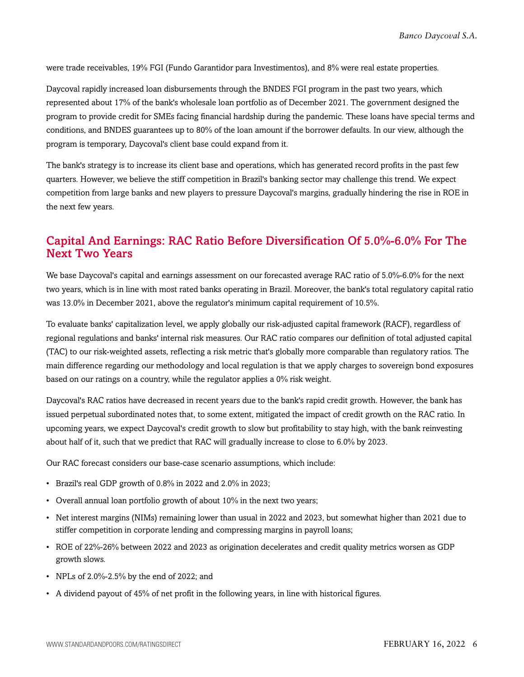were trade receivables, 19% FGI (Fundo Garantidor para Investimentos), and 8% were real estate properties.

Daycoval rapidly increased loan disbursements through the BNDES FGI program in the past two years, which represented about 17% of the bank's wholesale loan portfolio as of December 2021. The government designed the program to provide credit for SMEs facing financial hardship during the pandemic. These loans have special terms and conditions, and BNDES guarantees up to 80% of the loan amount if the borrower defaults. In our view, although the program is temporary, Daycoval's client base could expand from it.

The bank's strategy is to increase its client base and operations, which has generated record profits in the past few quarters. However, we believe the stiff competition in Brazil's banking sector may challenge this trend. We expect competition from large banks and new players to pressure Daycoval's margins, gradually hindering the rise in ROE in the next few years.

### <span id="page-5-0"></span>Capital And Earnings: RAC Ratio Before Diversification Of 5.0%-6.0% For The Next Two Years

We base Daycoval's capital and earnings assessment on our forecasted average RAC ratio of 5.0%-6.0% for the next two years, which is in line with most rated banks operating in Brazil. Moreover, the bank's total regulatory capital ratio was 13.0% in December 2021, above the regulator's minimum capital requirement of 10.5%.

To evaluate banks' capitalization level, we apply globally our risk-adjusted capital framework (RACF), regardless of regional regulations and banks' internal risk measures. Our RAC ratio compares our definition of total adjusted capital (TAC) to our risk-weighted assets, reflecting a risk metric that's globally more comparable than regulatory ratios. The main difference regarding our methodology and local regulation is that we apply charges to sovereign bond exposures based on our ratings on a country, while the regulator applies a 0% risk weight.

Daycoval's RAC ratios have decreased in recent years due to the bank's rapid credit growth. However, the bank has issued perpetual subordinated notes that, to some extent, mitigated the impact of credit growth on the RAC ratio. In upcoming years, we expect Daycoval's credit growth to slow but profitability to stay high, with the bank reinvesting about half of it, such that we predict that RAC will gradually increase to close to 6.0% by 2023.

Our RAC forecast considers our base-case scenario assumptions, which include:

- Brazil's real GDP growth of 0.8% in 2022 and 2.0% in 2023;
- Overall annual loan portfolio growth of about 10% in the next two years;
- Net interest margins (NIMs) remaining lower than usual in 2022 and 2023, but somewhat higher than 2021 due to stiffer competition in corporate lending and compressing margins in payroll loans;
- ROE of 22%-26% between 2022 and 2023 as origination decelerates and credit quality metrics worsen as GDP growth slows.
- NPLs of 2.0%-2.5% by the end of 2022; and
- A dividend payout of 45% of net profit in the following years, in line with historical figures.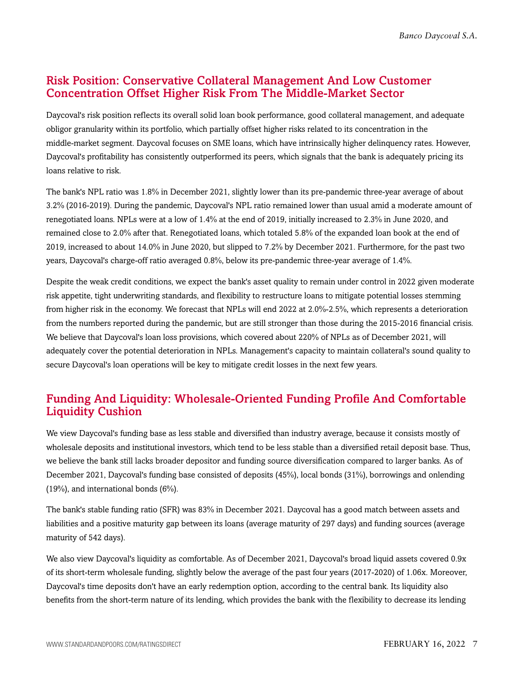#### <span id="page-6-0"></span>Risk Position: Conservative Collateral Management And Low Customer Concentration Offset Higher Risk From The Middle-Market Sector

Daycoval's risk position reflects its overall solid loan book performance, good collateral management, and adequate obligor granularity within its portfolio, which partially offset higher risks related to its concentration in the middle-market segment. Daycoval focuses on SME loans, which have intrinsically higher delinquency rates. However, Daycoval's profitability has consistently outperformed its peers, which signals that the bank is adequately pricing its loans relative to risk.

The bank's NPL ratio was 1.8% in December 2021, slightly lower than its pre-pandemic three-year average of about 3.2% (2016-2019). During the pandemic, Daycoval's NPL ratio remained lower than usual amid a moderate amount of renegotiated loans. NPLs were at a low of 1.4% at the end of 2019, initially increased to 2.3% in June 2020, and remained close to 2.0% after that. Renegotiated loans, which totaled 5.8% of the expanded loan book at the end of 2019, increased to about 14.0% in June 2020, but slipped to 7.2% by December 2021. Furthermore, for the past two years, Daycoval's charge-off ratio averaged 0.8%, below its pre-pandemic three-year average of 1.4%.

Despite the weak credit conditions, we expect the bank's asset quality to remain under control in 2022 given moderate risk appetite, tight underwriting standards, and flexibility to restructure loans to mitigate potential losses stemming from higher risk in the economy. We forecast that NPLs will end 2022 at 2.0%-2.5%, which represents a deterioration from the numbers reported during the pandemic, but are still stronger than those during the 2015-2016 financial crisis. We believe that Daycoval's loan loss provisions, which covered about 220% of NPLs as of December 2021, will adequately cover the potential deterioration in NPLs. Management's capacity to maintain collateral's sound quality to secure Daycoval's loan operations will be key to mitigate credit losses in the next few years.

### <span id="page-6-1"></span>Funding And Liquidity: Wholesale-Oriented Funding Profile And Comfortable Liquidity Cushion

We view Daycoval's funding base as less stable and diversified than industry average, because it consists mostly of wholesale deposits and institutional investors, which tend to be less stable than a diversified retail deposit base. Thus, we believe the bank still lacks broader depositor and funding source diversification compared to larger banks. As of December 2021, Daycoval's funding base consisted of deposits (45%), local bonds (31%), borrowings and onlending (19%), and international bonds (6%).

The bank's stable funding ratio (SFR) was 83% in December 2021. Daycoval has a good match between assets and liabilities and a positive maturity gap between its loans (average maturity of 297 days) and funding sources (average maturity of 542 days).

We also view Daycoval's liquidity as comfortable. As of December 2021, Daycoval's broad liquid assets covered 0.9x of its short-term wholesale funding, slightly below the average of the past four years (2017-2020) of 1.06x. Moreover, Daycoval's time deposits don't have an early redemption option, according to the central bank. Its liquidity also benefits from the short-term nature of its lending, which provides the bank with the flexibility to decrease its lending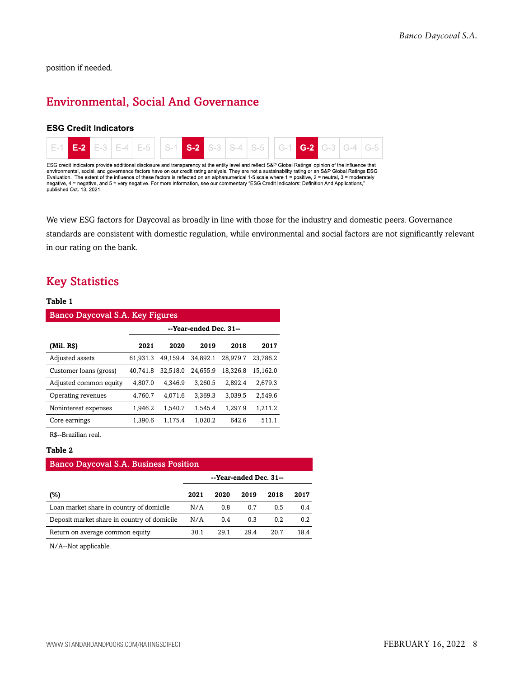<span id="page-7-0"></span>position if needed.

# Environmental, Social And Governance

#### **ESG Credit Indicators**



We view ESG factors for Daycoval as broadly in line with those for the industry and domestic peers. Governance standards are consistent with domestic regulation, while environmental and social factors are not significantly relevant in our rating on the bank.

#### <span id="page-7-1"></span>Key Statistics

#### **Table 1**

| Banco Daycoval S.A. Key Figures |                        |          |          |          |          |  |  |  |
|---------------------------------|------------------------|----------|----------|----------|----------|--|--|--|
|                                 | --Year-ended Dec. 31-- |          |          |          |          |  |  |  |
| (Mil. RS)                       | 2021                   | 2020     | 2019     | 2018     | 2017     |  |  |  |
| Adjusted assets                 | 61.931.3               | 49.159.4 | 34.892.1 | 28.979.7 | 23.786.2 |  |  |  |
| Customer loans (gross)          | 40.741.8               | 32.518.0 | 24.655.9 | 18.326.8 | 15.162.0 |  |  |  |
| Adjusted common equity          | 4.807.0                | 4.346.9  | 3.260.5  | 2.892.4  | 2.679.3  |  |  |  |
| Operating revenues              | 4.760.7                | 4.071.6  | 3.369.3  | 3.039.5  | 2.549.6  |  |  |  |
| Noninterest expenses            | 1.946.2                | 1.540.7  | 1.545.4  | 1.297.9  | 1.211.2  |  |  |  |
| Core earnings                   | 1.390.6                | 1.175.4  | 1.020.2  | 642.6    | 511.1    |  |  |  |

R\$--Brazilian real.

#### **Table 2**

| <b>Banco Daycoval S.A. Business Position</b> |                        |      |      |      |      |  |  |
|----------------------------------------------|------------------------|------|------|------|------|--|--|
|                                              | --Year-ended Dec. 31-- |      |      |      |      |  |  |
| (%)                                          | 2021                   | 2020 | 2019 | 2018 | 2017 |  |  |
| Loan market share in country of domicile     | N/A                    | 0.8  | 0.7  | 0.5  | 0.4  |  |  |
| Deposit market share in country of domicile  | N/A                    | 0.4  | 0.3  | 0.2  | 0.2  |  |  |
| Return on average common equity              | 30.1                   | 29.1 | 294  | 20.7 | 184  |  |  |

N/A--Not applicable.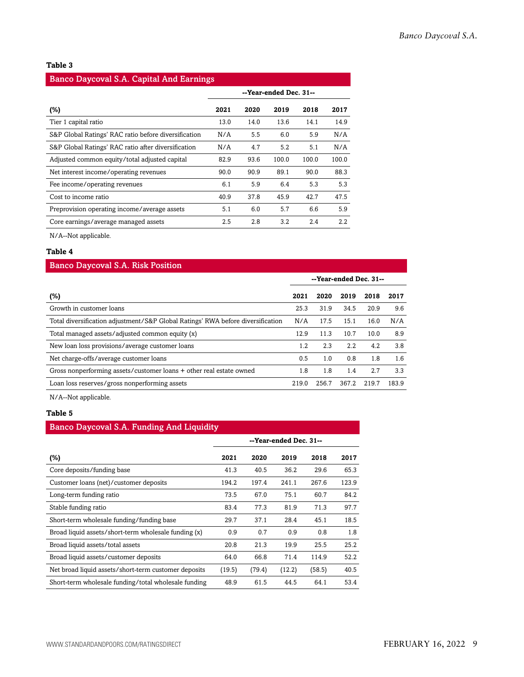#### **Table 3**

| <b>Banco Daycoval S.A. Capital And Earnings</b>      |                        |      |       |       |       |  |  |
|------------------------------------------------------|------------------------|------|-------|-------|-------|--|--|
|                                                      | --Year-ended Dec. 31-- |      |       |       |       |  |  |
| (%)                                                  | 2021                   | 2020 | 2019  | 2018  | 2017  |  |  |
| Tier 1 capital ratio                                 | 13.0                   | 14.0 | 13.6  | 14.1  | 14.9  |  |  |
| S&P Global Ratings' RAC ratio before diversification | N/A                    | 5.5  | 6.0   | 5.9   | N/A   |  |  |
| S&P Global Ratings' RAC ratio after diversification  | N/A                    | 4.7  | 5.2   | 5.1   | N/A   |  |  |
| Adjusted common equity/total adjusted capital        | 82.9                   | 93.6 | 100.0 | 100.0 | 100.0 |  |  |
| Net interest income/operating revenues               | 90.0                   | 90.9 | 89.1  | 90.0  | 88.3  |  |  |
| Fee income/operating revenues                        | 6.1                    | 5.9  | 6.4   | 5.3   | 5.3   |  |  |
| Cost to income ratio                                 | 40.9                   | 37.8 | 45.9  | 42.7  | 47.5  |  |  |
| Preprovision operating income/average assets         | 5.1                    | 6.0  | 5.7   | 6.6   | 5.9   |  |  |
| Core earnings/average managed assets                 | 2.5                    | 2.8  | 3.2   | 2.4   | 2.2   |  |  |

N/A--Not applicable.

#### **Table 4**

| <b>Banco Daycoval S.A. Risk Position</b>                                        |                        |       |       |       |         |  |  |
|---------------------------------------------------------------------------------|------------------------|-------|-------|-------|---------|--|--|
|                                                                                 | --Year-ended Dec. 31-- |       |       |       |         |  |  |
| (%)                                                                             | 2021                   | 2020  | 2019  | 2018  | 2017    |  |  |
| Growth in customer loans                                                        | 25.3                   | 31.9  | 34.5  | 20.9  | 9.6     |  |  |
| Total diversification adjustment/S&P Global Ratings' RWA before diversification | N/A                    | 17.5  | 15.1  | 16.0  | N/A     |  |  |
| Total managed assets/adjusted common equity (x)                                 | 12.9                   | 11.3  | 10.7  | 10.0  | 8.9     |  |  |
| New loan loss provisions/average customer loans                                 | 1.2                    | 2.3   | 2.2   | 4.2   | 3.8     |  |  |
| Net charge-offs/average customer loans                                          | 0.5                    | 1.0   | 0.8   | 1.8   | $1.6\,$ |  |  |
| Gross nonperforming assets/customer loans + other real estate owned             | 1.8                    | 1.8   | 1.4   | 2.7   | 3.3     |  |  |
| Loan loss reserves/gross nonperforming assets                                   | 219.0                  | 256.7 | 367.2 | 219.7 | 183.9   |  |  |

N/A--Not applicable.

#### **Table 5**

| <b>Banco Daycoval S.A. Funding And Liquidity</b>     |                        |        |        |        |       |  |  |
|------------------------------------------------------|------------------------|--------|--------|--------|-------|--|--|
|                                                      | --Year-ended Dec. 31-- |        |        |        |       |  |  |
| (%)                                                  | 2021                   | 2020   | 2019   | 2018   | 2017  |  |  |
| Core deposits/funding base                           | 41.3                   | 40.5   | 36.2   | 29.6   | 65.3  |  |  |
| Customer loans (net)/customer deposits               | 194.2                  | 197.4  | 241.1  | 267.6  | 123.9 |  |  |
| Long-term funding ratio                              | 73.5                   | 67.0   | 75.1   | 60.7   | 84.2  |  |  |
| Stable funding ratio                                 | 83.4                   | 77.3   | 81.9   | 71.3   | 97.7  |  |  |
| Short-term wholesale funding/funding base            | 29.7                   | 37.1   | 28.4   | 45.1   | 18.5  |  |  |
| Broad liquid assets/short-term wholesale funding (x) | 0.9                    | 0.7    | 0.9    | 0.8    | 1.8   |  |  |
| Broad liquid assets/total assets                     | 20.8                   | 21.3   | 19.9   | 25.5   | 25.2  |  |  |
| Broad liquid assets/customer deposits                | 64.0                   | 66.8   | 71.4   | 114.9  | 52.2  |  |  |
| Net broad liquid assets/short-term customer deposits | (19.5)                 | (79.4) | (12.2) | (58.5) | 40.5  |  |  |
| Short-term wholesale funding/total wholesale funding | 48.9                   | 61.5   | 44.5   | 64.1   | 53.4  |  |  |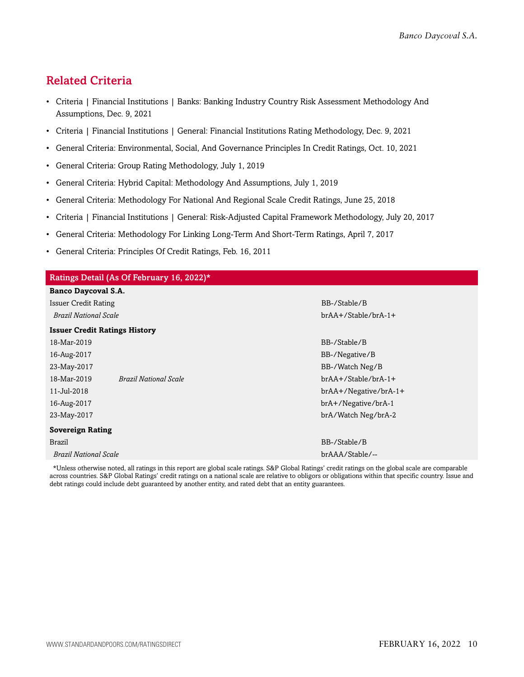# <span id="page-9-0"></span>Related Criteria

- Criteria | Financial Institutions | Banks: Banking Industry Country Risk Assessment Methodology And Assumptions, Dec. 9, 2021
- Criteria | Financial Institutions | General: Financial Institutions Rating Methodology, Dec. 9, 2021
- General Criteria: Environmental, Social, And Governance Principles In Credit Ratings, Oct. 10, 2021
- General Criteria: Group Rating Methodology, July 1, 2019
- General Criteria: Hybrid Capital: Methodology And Assumptions, July 1, 2019
- General Criteria: Methodology For National And Regional Scale Credit Ratings, June 25, 2018
- Criteria | Financial Institutions | General: Risk-Adjusted Capital Framework Methodology, July 20, 2017
- General Criteria: Methodology For Linking Long-Term And Short-Term Ratings, April 7, 2017
- General Criteria: Principles Of Credit Ratings, Feb. 16, 2011

### Ratings Detail (As Of February 16, 2022)\* **Banco Daycoval S.A.** Issuer Credit Rating BB-/Stable/B *Brazil National Scale* brAA+/Stable/brA-1+ **Issuer Credit Ratings History** 18-Mar-2019 BB-/Stable/B 16-Aug-2017 BB-/Negative/B 23-May-2017 BB-/Watch Neg/B 18-Mar-2019 *Brazil National Scale* brAA+/Stable/brA-1+ 11-Jul-2018 brAA+/Negative/brA-1+ 16-Aug-2017 brA+/Negative/brA-1 23-May-2017 brA/Watch Neg/brA-2 **Sovereign Rating** Brazil BB-/Stable/B *Brazil National Scale* brAAA/Stable/--

\*Unless otherwise noted, all ratings in this report are global scale ratings. S&P Global Ratings' credit ratings on the global scale are comparable across countries. S&P Global Ratings' credit ratings on a national scale are relative to obligors or obligations within that specific country. Issue and debt ratings could include debt guaranteed by another entity, and rated debt that an entity guarantees.